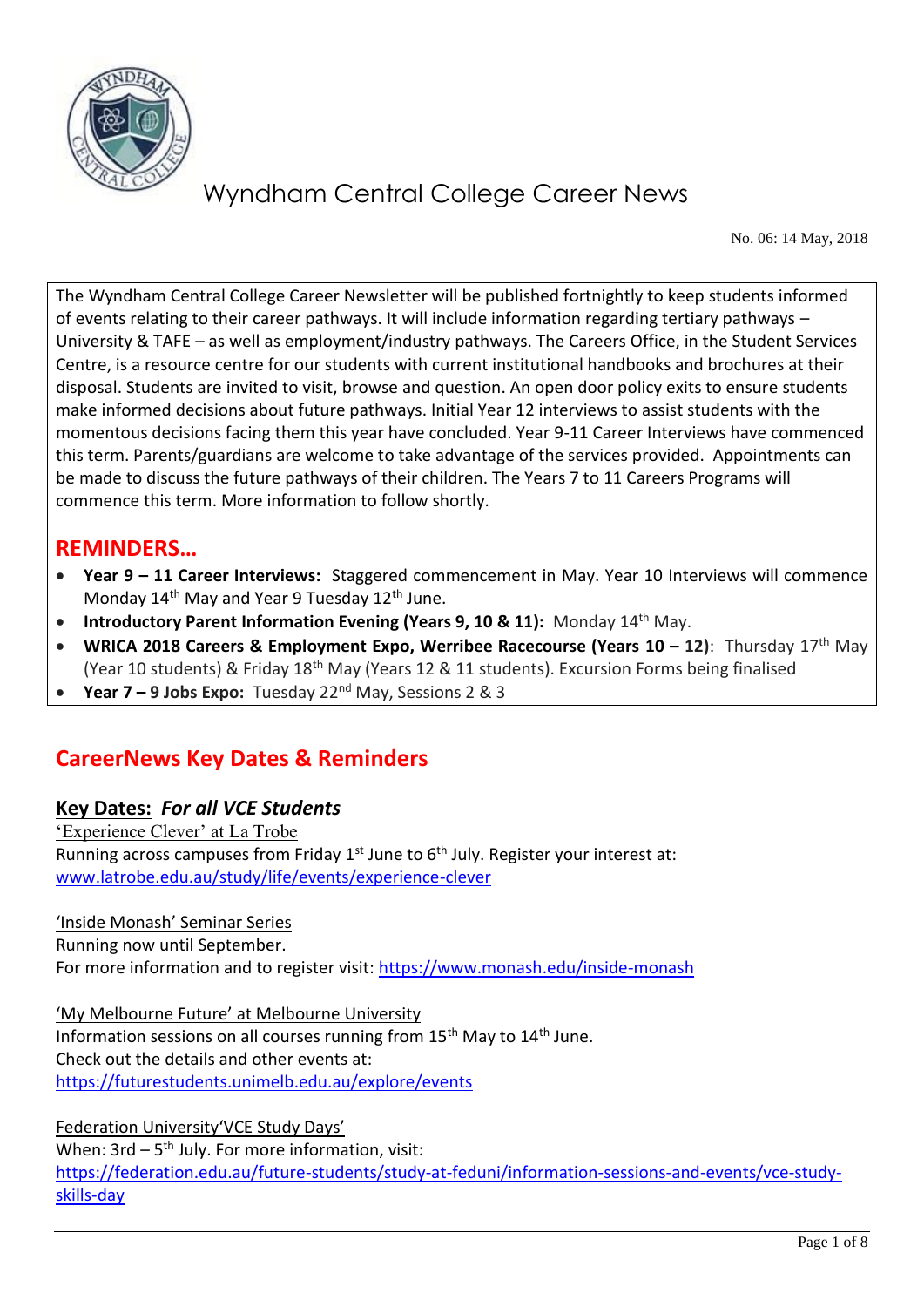

No. 06: 14 May, 2018

The Wyndham Central College Career Newsletter will be published fortnightly to keep students informed of events relating to their career pathways. It will include information regarding tertiary pathways – University & TAFE – as well as employment/industry pathways. The Careers Office, in the Student Services Centre, is a resource centre for our students with current institutional handbooks and brochures at their disposal. Students are invited to visit, browse and question. An open door policy exits to ensure students make informed decisions about future pathways. Initial Year 12 interviews to assist students with the momentous decisions facing them this year have concluded. Year 9-11 Career Interviews have commenced this term. Parents/guardians are welcome to take advantage of the services provided. Appointments can be made to discuss the future pathways of their children. The Years 7 to 11 Careers Programs will commence this term. More information to follow shortly.

### **REMINDERS…**

- **Year 9 – 11 Career Interviews:** Staggered commencement in May. Year 10 Interviews will commence Monday  $14<sup>th</sup>$  May and Year 9 Tuesday  $12<sup>th</sup>$  June.
- **Introductory Parent Information Evening (Years 9, 10 & 11):** Monday 14<sup>th</sup> May.
- **WRICA 2018 Careers & Employment Expo, Werribee Racecourse (Years 10 – 12)**: Thursday 17th May (Year 10 students) & Friday 18th May (Years 12 & 11 students). Excursion Forms being finalised
- **Year 7 – 9 Jobs Expo:** Tuesday 22nd May, Sessions 2 & 3

### **CareerNews Key Dates & Reminders**

#### **Key Dates:** *For all VCE Students*

'Experience Clever' at La Trobe Running across campuses from Friday  $1^{st}$  June to  $6^{th}$  July. Register your interest at: [www.latrobe.edu.au/study/life/events/experience-clever](http://www.latrobe.edu.au/study/life/events/experience-clever) 

'Inside Monash' Seminar Series Running now until September. For more information and to register visit:<https://www.monash.edu/inside-monash>

'My Melbourne Future' at Melbourne University

Information sessions on all courses running from 15th May to 14th June. Check out the details and other events at: <https://futurestudents.unimelb.edu.au/explore/events>

Federation University'VCE Study Days' When:  $3rd - 5<sup>th</sup>$  July. For more information, visit: [https://federation.edu.au/future-students/study-at-feduni/information-sessions-and-events/vce-study](https://federation.edu.au/future-students/study-at-feduni/information-sessions-and-events/vce-study-skills-day)[skills-day](https://federation.edu.au/future-students/study-at-feduni/information-sessions-and-events/vce-study-skills-day)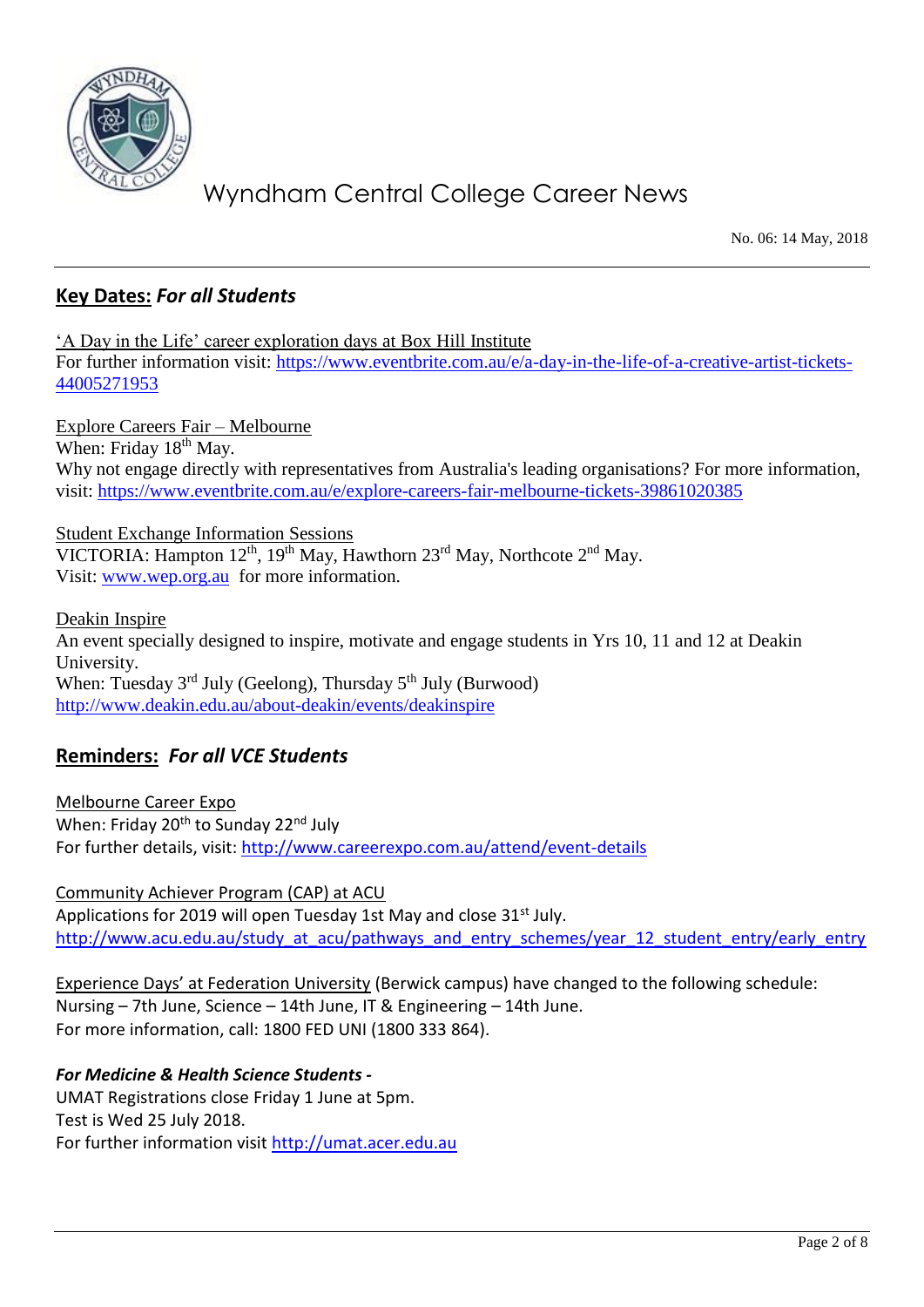

No. 06: 14 May, 2018

#### **Key Dates:** *For all Students*

'A Day in the Life' career exploration days at Box Hill Institute For further information visit: [https://www.eventbrite.com.au/e/a-day-in-the-life-of-a-creative-artist-tickets-](https://www.eventbrite.com.au/e/a-day-in-the-life-of-a-creative-artist-tickets-44005271953)[44005271953](https://www.eventbrite.com.au/e/a-day-in-the-life-of-a-creative-artist-tickets-44005271953)

Explore Careers Fair – Melbourne When: Friday 18<sup>th</sup> May. Why not engage directly with representatives from Australia's leading organisations? For more information, visit:<https://www.eventbrite.com.au/e/explore-careers-fair-melbourne-tickets-39861020385>

Student Exchange Information Sessions VICTORIA: Hampton  $12^{th}$ ,  $19^{th}$  May, Hawthorn  $23^{rd}$  May, Northcote  $2^{nd}$  May. Visit: <u>www.wep.org.au</u> for more information.

Deakin Inspire An event specially designed to inspire, motivate and engage students in Yrs 10, 11 and 12 at Deakin University. When: Tuesday  $3<sup>rd</sup>$  July (Geelong), Thursday  $5<sup>th</sup>$  July (Burwood) <http://www.deakin.edu.au/about-deakin/events/deakinspire>

#### **Reminders:** *For all VCE Students*

Melbourne Career Expo When: Friday 20<sup>th</sup> to Sunday 22<sup>nd</sup> July For further details, visit:<http://www.careerexpo.com.au/attend/event-details>

Community Achiever Program (CAP) at ACU Applications for 2019 will open Tuesday 1st May and close 31<sup>st</sup> July. [http://www.acu.edu.au/study\\_at\\_acu/pathways\\_and\\_entry\\_schemes/year\\_12\\_student\\_entry/early\\_entry](http://www.acu.edu.au/study_at_acu/pathways_and_entry_schemes/year_12_student_entry/early_entry)

Experience Days' at Federation University (Berwick campus) have changed to the following schedule: Nursing – 7th June, Science – 14th June, IT & Engineering – 14th June. For more information, call: 1800 FED UNI (1800 333 864).

#### *For Medicine & Health Science Students -*

UMAT Registrations close Friday 1 June at 5pm. Test is Wed 25 July 2018. For further information visit [http://umat.acer.edu.au](http://umat.acer.edu.au/)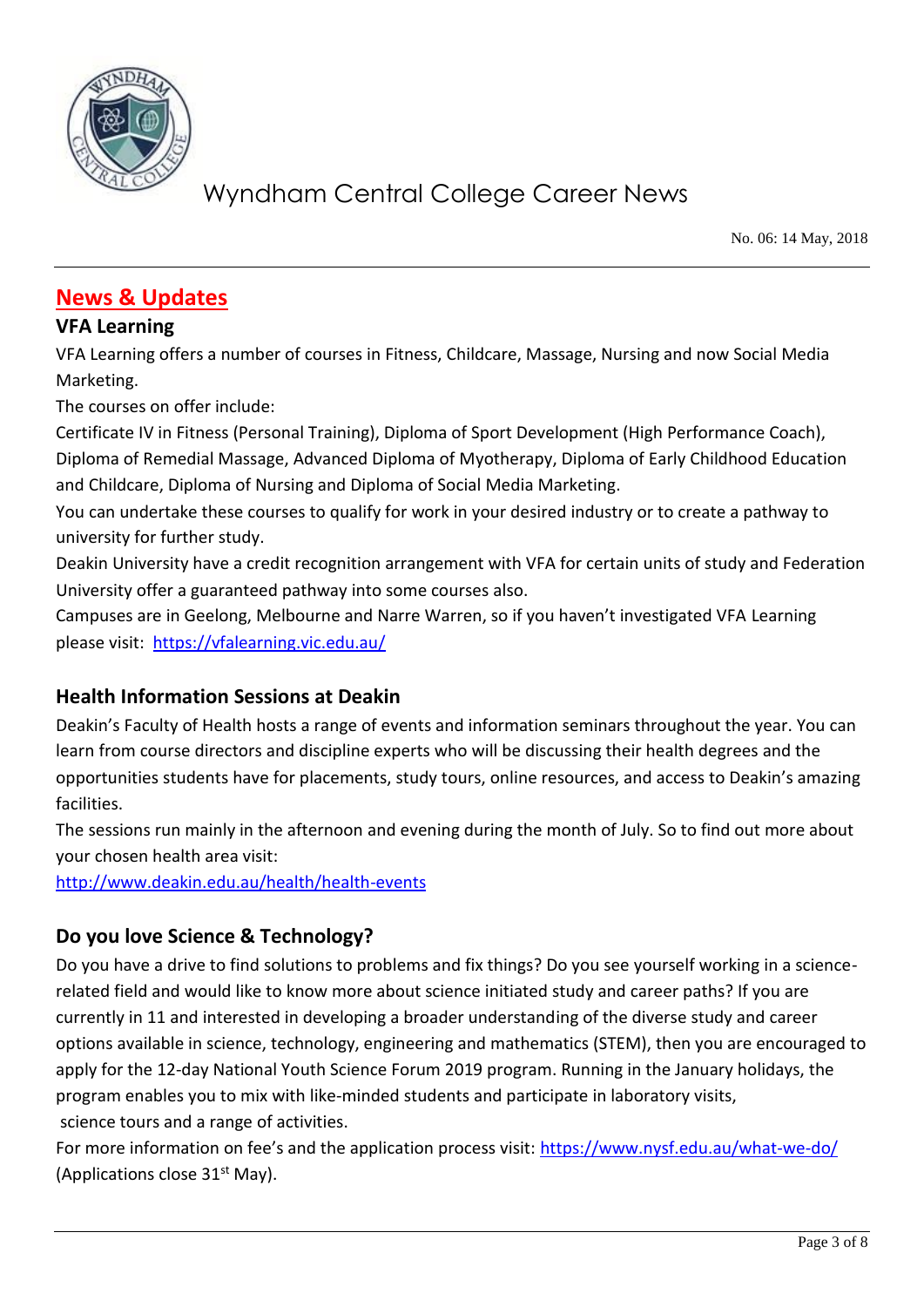

No. 06: 14 May, 2018

### **News & Updates**

#### **VFA Learning**

VFA Learning offers a number of courses in Fitness, Childcare, Massage, Nursing and now Social Media Marketing.

The courses on offer include:

Certificate IV in Fitness (Personal Training), Diploma of Sport Development (High Performance Coach), Diploma of Remedial Massage, Advanced Diploma of Myotherapy, Diploma of Early Childhood Education and Childcare, Diploma of Nursing and Diploma of Social Media Marketing.

You can undertake these courses to qualify for work in your desired industry or to create a pathway to university for further study.

Deakin University have a credit recognition arrangement with VFA for certain units of study and Federation University offer a guaranteed pathway into some courses also.

Campuses are in Geelong, Melbourne and Narre Warren, so if you haven't investigated VFA Learning please visit: <https://vfalearning.vic.edu.au/>

#### **Health Information Sessions at Deakin**

Deakin's Faculty of Health hosts a range of events and information seminars throughout the year. You can learn from course directors and discipline experts who will be discussing their health degrees and the opportunities students have for placements, study tours, online resources, and access to Deakin's amazing facilities.

The sessions run mainly in the afternoon and evening during the month of July. So to find out more about your chosen health area visit:

<http://www.deakin.edu.au/health/health-events>

#### **Do you love Science & Technology?**

Do you have a drive to find solutions to problems and fix things? Do you see yourself working in a sciencerelated field and would like to know more about science initiated study and career paths? If you are currently in 11 and interested in developing a broader understanding of the diverse study and career options available in science, technology, engineering and mathematics (STEM), then you are encouraged to apply for the 12-day National Youth Science Forum 2019 program. Running in the January holidays, the program enables you to mix with like-minded students and participate in laboratory visits, science tours and a range of activities.

For more information on fee's and the application process visit: <https://www.nysf.edu.au/what-we-do/> (Applications close  $31<sup>st</sup>$  May).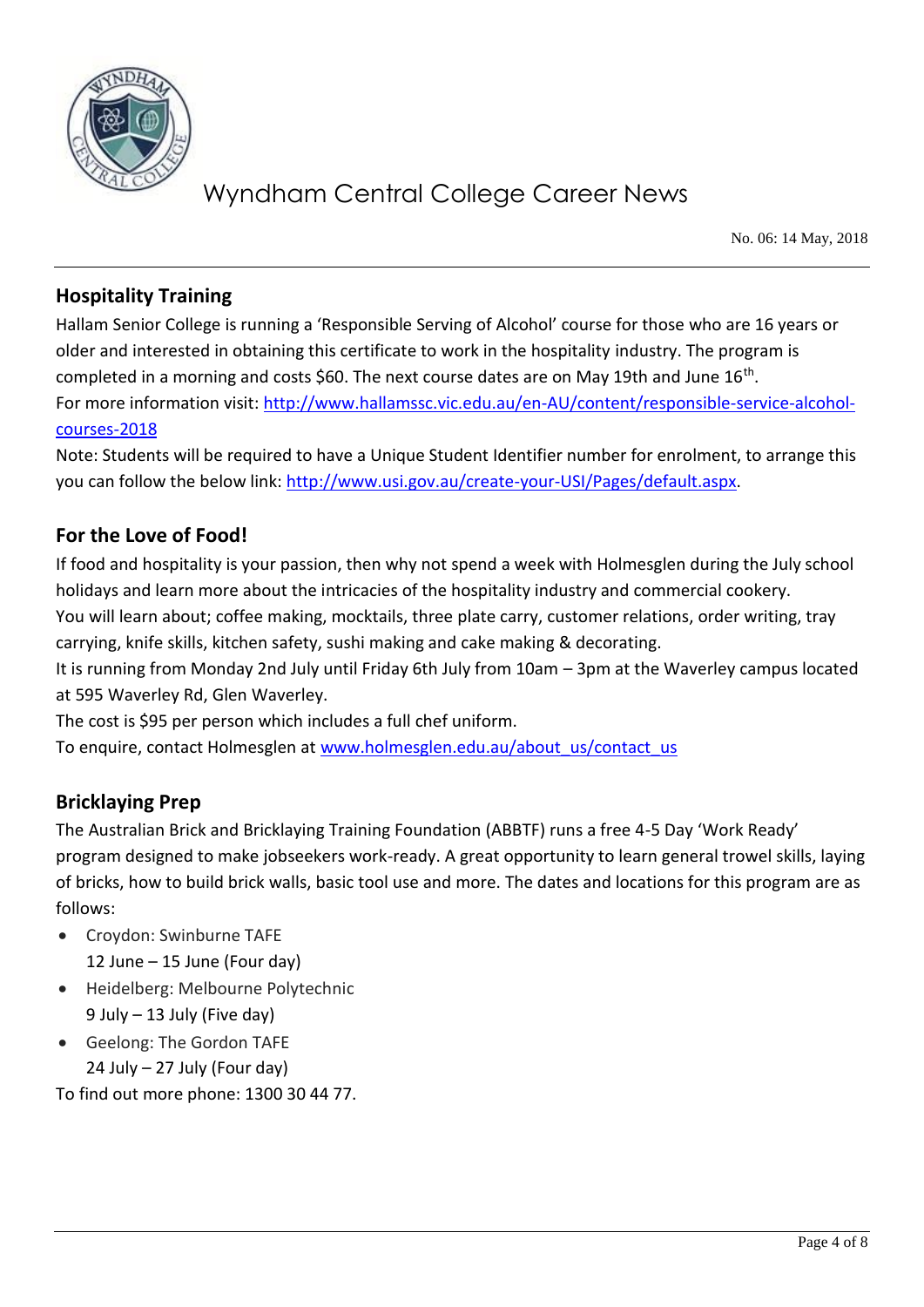

No. 06: 14 May, 2018

#### **Hospitality Training**

Hallam Senior College is running a 'Responsible Serving of Alcohol' course for those who are 16 years or older and interested in obtaining this certificate to work in the hospitality industry. The program is completed in a morning and costs \$60. The next course dates are on May 19th and June 16<sup>th</sup>. For more information visit: [http://www.hallamssc.vic.edu.au/en-AU/content/responsible-service-alcohol](http://www.hallamssc.vic.edu.au/en-AU/content/responsible-service-alcohol-courses-2018)[courses-2018](http://www.hallamssc.vic.edu.au/en-AU/content/responsible-service-alcohol-courses-2018)

Note: Students will be required to have a Unique Student Identifier number for enrolment, to arrange this you can follow the below link: [http://www.usi.gov.au/create-your-USI/Pages/default.aspx.](http://www.usi.gov.au/create-your-USI/Pages/default.aspx)

#### **For the Love of Food!**

If food and hospitality is your passion, then why not spend a week with Holmesglen during the July school holidays and learn more about the intricacies of the hospitality industry and commercial cookery.

You will learn about; coffee making, mocktails, three plate carry, customer relations, order writing, tray carrying, knife skills, kitchen safety, sushi making and cake making & decorating.

It is running from Monday 2nd July until Friday 6th July from 10am – 3pm at the Waverley campus located at 595 Waverley Rd, Glen Waverley.

The cost is \$95 per person which includes a full chef uniform.

To enquire, contact Holmesglen at [www.holmesglen.edu.au/about\\_us/contact\\_us](http://www.holmesglen.edu.au/about_us/contact_us)

#### **Bricklaying Prep**

The Australian Brick and Bricklaying Training Foundation (ABBTF) runs a free 4-5 Day 'Work Ready' program designed to make jobseekers work-ready. A great opportunity to learn general trowel skills, laying of bricks, how to build brick walls, basic tool use and more. The dates and locations for this program are as follows:

- Croydon: Swinburne TAFE 12 June – 15 June (Four day)
- Heidelberg: Melbourne Polytechnic 9 July – 13 July (Five day)
- Geelong: The Gordon TAFE 24 July – 27 July (Four day)

To find out more phone: 1300 30 44 77.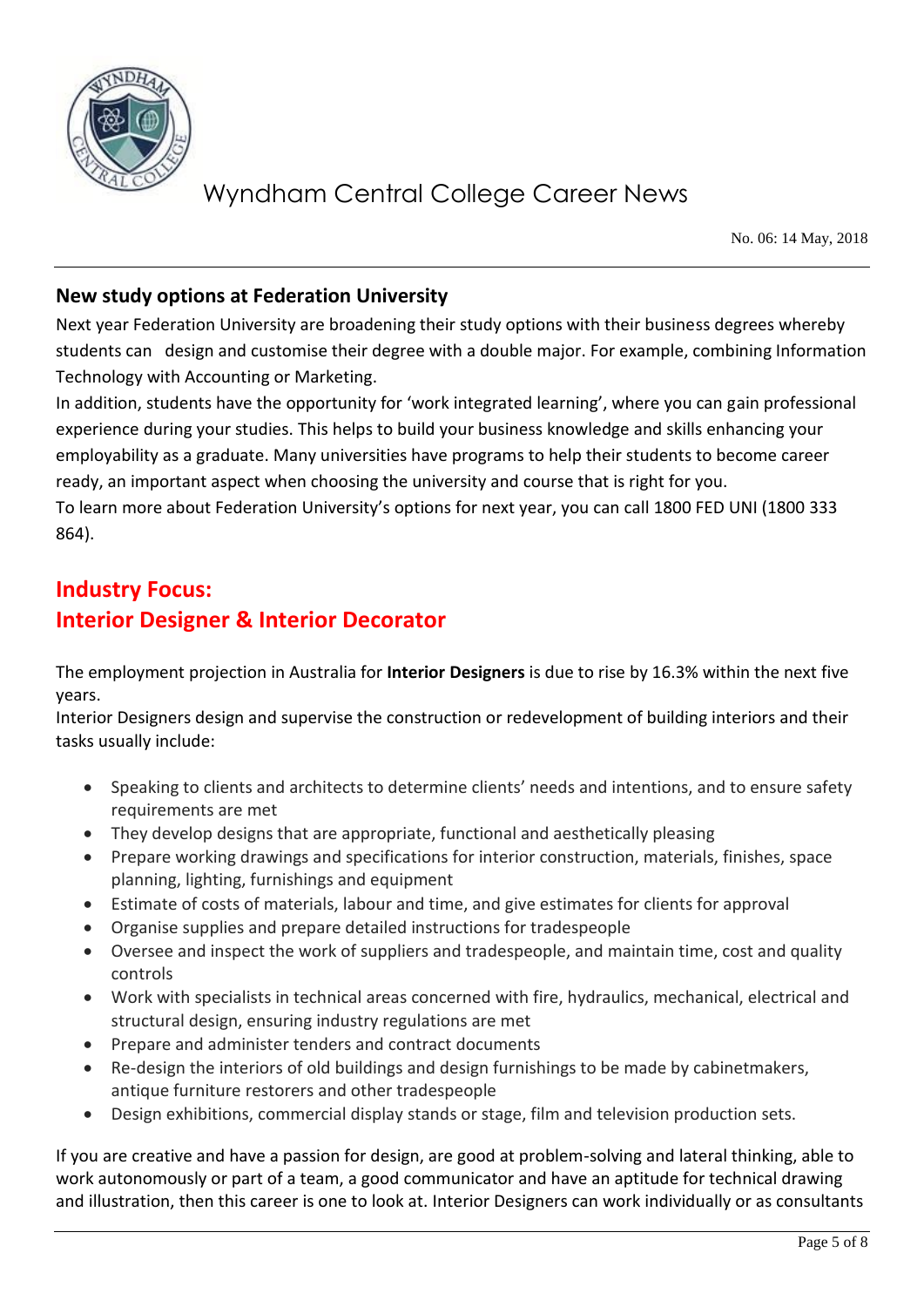

No. 06: 14 May, 2018

#### **New study options at Federation University**

Next year Federation University are broadening their study options with their business degrees whereby students can design and customise their degree with a double major. For example, combining Information Technology with Accounting or Marketing.

In addition, students have the opportunity for 'work integrated learning', where you can gain professional experience during your studies. This helps to build your business knowledge and skills enhancing your employability as a graduate. Many universities have programs to help their students to become career ready, an important aspect when choosing the university and course that is right for you.

To learn more about Federation University's options for next year, you can call 1800 FED UNI (1800 333 864).

### **Industry Focus: Interior Designer & Interior Decorator**

The employment projection in Australia for **Interior Designers** is due to rise by 16.3% within the next five years.

Interior Designers design and supervise the construction or redevelopment of building interiors and their tasks usually include:

- Speaking to clients and architects to determine clients' needs and intentions, and to ensure safety requirements are met
- They develop designs that are appropriate, functional and aesthetically pleasing
- Prepare working drawings and specifications for interior construction, materials, finishes, space planning, lighting, furnishings and equipment
- Estimate of costs of materials, labour and time, and give estimates for clients for approval
- Organise supplies and prepare detailed instructions for tradespeople
- Oversee and inspect the work of suppliers and tradespeople, and maintain time, cost and quality controls
- Work with specialists in technical areas concerned with fire, hydraulics, mechanical, electrical and structural design, ensuring industry regulations are met
- Prepare and administer tenders and contract documents
- Re-design the interiors of old buildings and design furnishings to be made by cabinetmakers, antique furniture restorers and other tradespeople
- Design exhibitions, commercial display stands or stage, film and television production sets.

If you are creative and have a passion for design, are good at problem-solving and lateral thinking, able to work autonomously or part of a team, a good communicator and have an aptitude for technical drawing and illustration, then this career is one to look at. Interior Designers can work individually or as consultants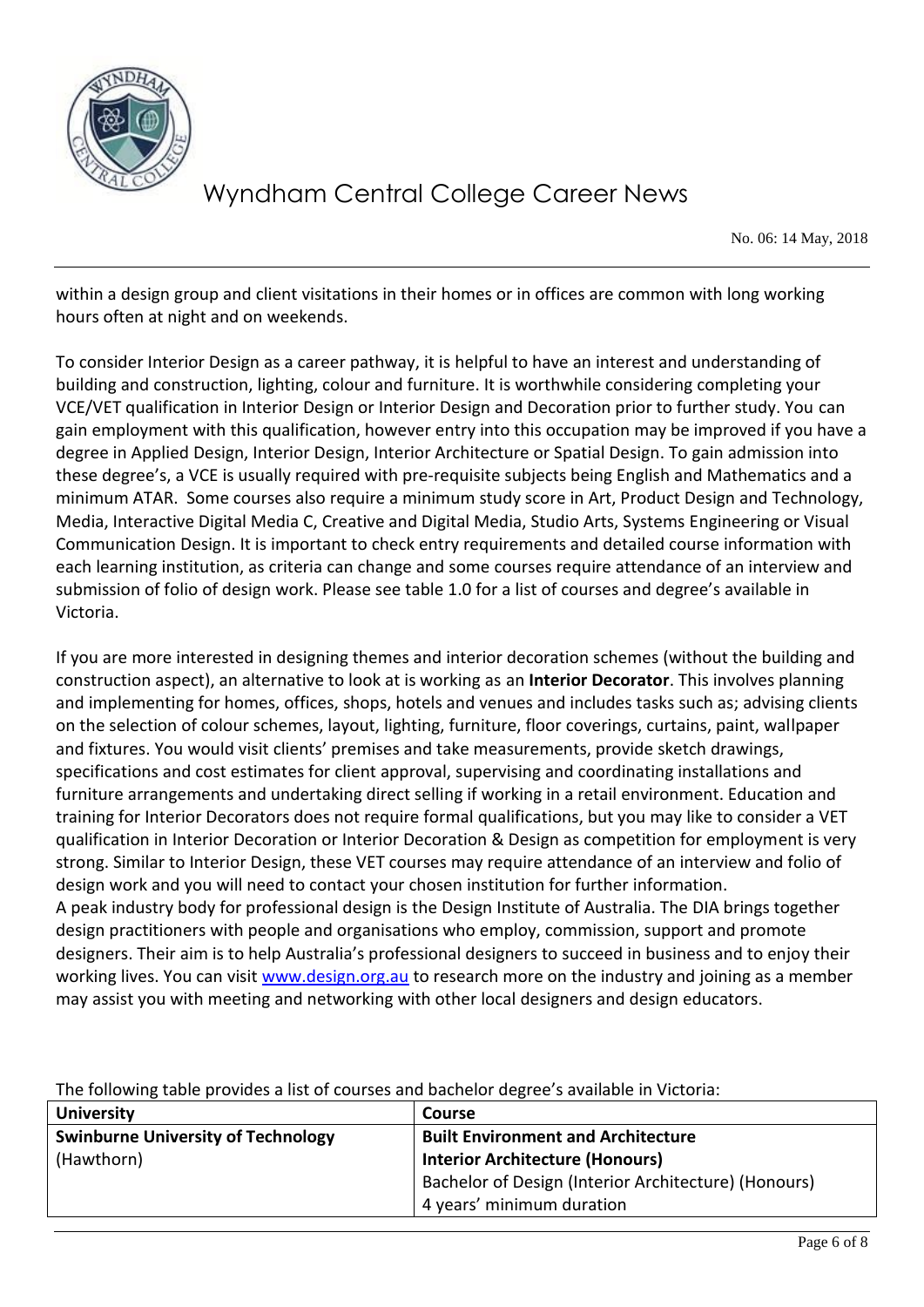

No. 06: 14 May, 2018

within a design group and client visitations in their homes or in offices are common with long working hours often at night and on weekends.

To consider Interior Design as a career pathway, it is helpful to have an interest and understanding of building and construction, lighting, colour and furniture. It is worthwhile considering completing your VCE/VET qualification in Interior Design or Interior Design and Decoration prior to further study. You can gain employment with this qualification, however entry into this occupation may be improved if you have a degree in Applied Design, Interior Design, Interior Architecture or Spatial Design. To gain admission into these degree's, a VCE is usually required with pre-requisite subjects being English and Mathematics and a minimum ATAR. Some courses also require a minimum study score in Art, Product Design and Technology, Media, Interactive Digital Media C, Creative and Digital Media, Studio Arts, Systems Engineering or Visual Communication Design. It is important to check entry requirements and detailed course information with each learning institution, as criteria can change and some courses require attendance of an interview and submission of folio of design work. Please see table 1.0 for a list of courses and degree's available in Victoria.

If you are more interested in designing themes and interior decoration schemes (without the building and construction aspect), an alternative to look at is working as an **Interior Decorator**. This involves planning and implementing for homes, offices, shops, hotels and venues and includes tasks such as; advising clients on the selection of colour schemes, layout, lighting, furniture, floor coverings, curtains, paint, wallpaper and fixtures. You would visit clients' premises and take measurements, provide sketch drawings, specifications and cost estimates for client approval, supervising and coordinating installations and furniture arrangements and undertaking direct selling if working in a retail environment. Education and training for Interior Decorators does not require formal qualifications, but you may like to consider a VET qualification in Interior Decoration or Interior Decoration & Design as competition for employment is very strong. Similar to Interior Design, these VET courses may require attendance of an interview and folio of design work and you will need to contact your chosen institution for further information. A peak industry body for professional design is the Design Institute of Australia. The DIA brings together design practitioners with people and organisations who employ, commission, support and promote designers. Their aim is to help Australia's professional designers to succeed in business and to enjoy their working lives. You can visit [www.design.org.au](http://www.design.org.au/) to research more on the industry and joining as a member may assist you with meeting and networking with other local designers and design educators.

The following table provides a list of courses and bachelor degree's available in Victoria:

| <b>University</b>                         | Course                                               |
|-------------------------------------------|------------------------------------------------------|
| <b>Swinburne University of Technology</b> | <b>Built Environment and Architecture</b>            |
| (Hawthorn)                                | <b>Interior Architecture (Honours)</b>               |
|                                           | Bachelor of Design (Interior Architecture) (Honours) |
|                                           | 4 years' minimum duration                            |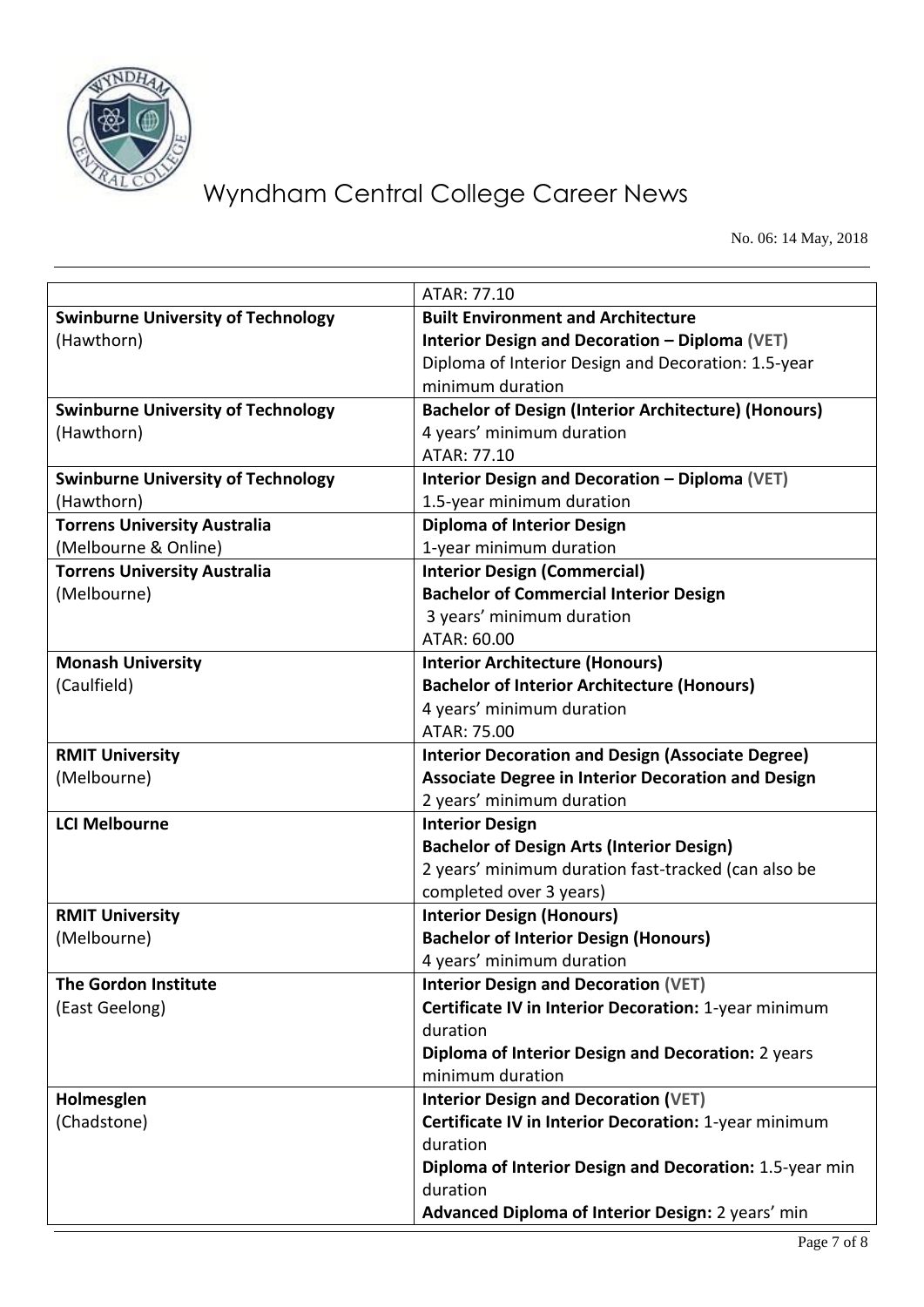

No. 06: 14 May, 2018

|                                           | ATAR: 77.10                                                 |
|-------------------------------------------|-------------------------------------------------------------|
| <b>Swinburne University of Technology</b> | <b>Built Environment and Architecture</b>                   |
| (Hawthorn)                                | Interior Design and Decoration - Diploma (VET)              |
|                                           | Diploma of Interior Design and Decoration: 1.5-year         |
|                                           | minimum duration                                            |
| <b>Swinburne University of Technology</b> | <b>Bachelor of Design (Interior Architecture) (Honours)</b> |
| (Hawthorn)                                | 4 years' minimum duration                                   |
|                                           | ATAR: 77.10                                                 |
| <b>Swinburne University of Technology</b> | <b>Interior Design and Decoration - Diploma (VET)</b>       |
| (Hawthorn)                                | 1.5-year minimum duration                                   |
| <b>Torrens University Australia</b>       | <b>Diploma of Interior Design</b>                           |
| (Melbourne & Online)                      | 1-year minimum duration                                     |
| <b>Torrens University Australia</b>       | <b>Interior Design (Commercial)</b>                         |
| (Melbourne)                               | <b>Bachelor of Commercial Interior Design</b>               |
|                                           | 3 years' minimum duration                                   |
|                                           | ATAR: 60.00                                                 |
| <b>Monash University</b>                  | <b>Interior Architecture (Honours)</b>                      |
| (Caulfield)                               | <b>Bachelor of Interior Architecture (Honours)</b>          |
|                                           | 4 years' minimum duration                                   |
|                                           | ATAR: 75.00                                                 |
| <b>RMIT University</b>                    | <b>Interior Decoration and Design (Associate Degree)</b>    |
| (Melbourne)                               | <b>Associate Degree in Interior Decoration and Design</b>   |
|                                           | 2 years' minimum duration                                   |
| <b>LCI Melbourne</b>                      | <b>Interior Design</b>                                      |
|                                           | <b>Bachelor of Design Arts (Interior Design)</b>            |
|                                           | 2 years' minimum duration fast-tracked (can also be         |
|                                           | completed over 3 years)                                     |
| <b>RMIT University</b>                    | <b>Interior Design (Honours)</b>                            |
| (Melbourne)                               | <b>Bachelor of Interior Design (Honours)</b>                |
|                                           | 4 years' minimum duration                                   |
| <b>The Gordon Institute</b>               | <b>Interior Design and Decoration (VET)</b>                 |
| (East Geelong)                            | Certificate IV in Interior Decoration: 1-year minimum       |
|                                           | duration                                                    |
|                                           | Diploma of Interior Design and Decoration: 2 years          |
|                                           | minimum duration                                            |
| Holmesglen                                | <b>Interior Design and Decoration (VET)</b>                 |
| (Chadstone)                               | Certificate IV in Interior Decoration: 1-year minimum       |
|                                           | duration                                                    |
|                                           | Diploma of Interior Design and Decoration: 1.5-year min     |
|                                           | duration                                                    |
|                                           | Advanced Diploma of Interior Design: 2 years' min           |